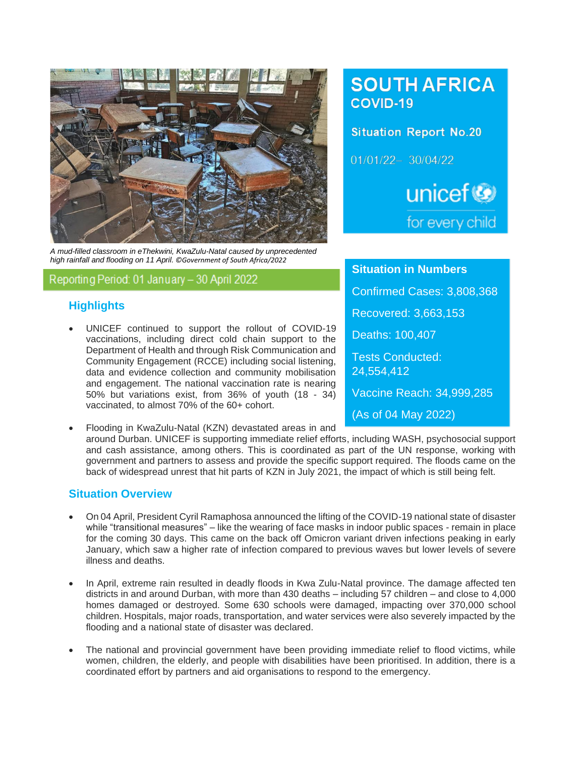

*A mud-filled classroom in eThekwini, KwaZulu-Natal caused by unprecedented high rainfall and flooding on 11 April. ©Government of South Africa/2022*

# Reporting Period: 01 January - 30 April 2022

## **Highlights**

- UNICEF continued to support the rollout of COVID-19 vaccinations, including direct cold chain support to the Department of Health and through Risk Communication and Community Engagement (RCCE) including social listening, data and evidence collection and community mobilisation and engagement. The national vaccination rate is nearing 50% but variations exist, from 36% of youth (18 - 34) vaccinated, to almost 70% of the 60+ cohort.
- Flooding in KwaZulu-Natal (KZN) devastated areas in and around Durban. UNICEF is supporting immediate relief efforts, including WASH, psychosocial support and cash assistance, among others. This is coordinated as part of the UN response, working with government and partners to assess and provide the specific support required. The floods came on the back of widespread unrest that hit parts of KZN in July 2021, the impact of which is still being felt.

## **Situation Overview**

- On 04 April, President Cyril Ramaphosa announced the lifting of the COVID-19 national state of disaster while "transitional measures" – like the wearing of face masks in indoor public spaces - remain in place for the coming 30 days. This came on the back off Omicron variant driven infections peaking in early January, which saw a higher rate of infection compared to previous waves but lower levels of severe illness and deaths.
- In April, extreme rain resulted in deadly floods in Kwa Zulu-Natal province. The damage affected ten districts in and around Durban, with more than 430 deaths – including 57 children – and close to 4,000 homes damaged or destroyed. Some 630 schools were damaged, impacting over 370,000 school children. Hospitals, major roads, transportation, and water services were also severely impacted by the flooding and a national state of disaster was declared.
- The national and provincial government have been providing immediate relief to flood victims, while women, children, the elderly, and people with disabilities have been prioritised. In addition, there is a coordinated effort by partners and aid organisations to respond to the emergency.

# **SOUTH AFRICA** COVID-19

**Situation Report No.20** 01/01/22-30/04/22 unicef<sup>®</sup> for every child

**Situation in Numbers** Confirmed Cases: 3,808,368 Recovered: 3,663,153 Deaths: 100,407 Tests Conducted: 24,554,412 Vaccine Reach: 34,999,285 (As of 04 May 2022)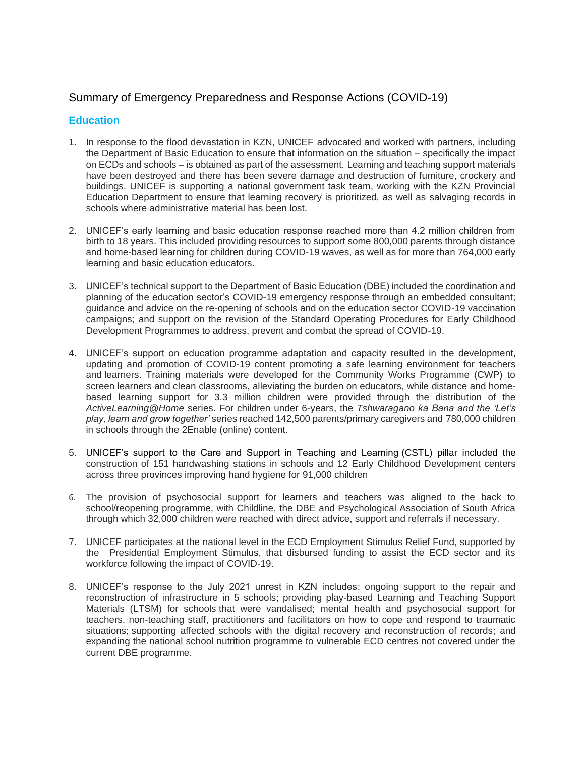## Summary of Emergency Preparedness and Response Actions (COVID-19)

### **Education**

- 1. In response to the flood devastation in KZN, UNICEF advocated and worked with partners, including the Department of Basic Education to ensure that information on the situation – specifically the impact on ECDs and schools – is obtained as part of the assessment. Learning and teaching support materials have been destroyed and there has been severe damage and destruction of furniture, crockery and buildings. UNICEF is supporting a national government task team, working with the KZN Provincial Education Department to ensure that learning recovery is prioritized, as well as salvaging records in schools where administrative material has been lost.
- 2. UNICEF's early learning and basic education response reached more than 4.2 million children from birth to 18 years. This included providing resources to support some 800,000 parents through distance and home-based learning for children during COVID-19 waves, as well as for more than 764,000 early learning and basic education educators.
- 3. UNICEF's technical support to the Department of Basic Education (DBE) included the coordination and planning of the education sector's COVID-19 emergency response through an embedded consultant; guidance and advice on the re-opening of schools and on the education sector COVID-19 vaccination campaigns; and support on the revision of the Standard Operating Procedures for Early Childhood Development Programmes to address, prevent and combat the spread of COVID-19.
- 4. UNICEF's support on education programme adaptation and capacity resulted in the development, updating and promotion of COVID-19 content promoting a safe learning environment for teachers and learners. Training materials were developed for the Community Works Programme (CWP) to screen learners and clean classrooms, alleviating the burden on educators, while distance and homebased learning support for 3.3 million children were provided through the distribution of the *ActiveLearning@Home* series. For children under 6-years, the *Tshwaragano ka Bana and the 'Let's play, learn and grow together'* series reached 142,500 parents/primary caregivers and 780,000 children in schools through the 2Enable (online) content.
- 5. UNICEF's support to the Care and Support in Teaching and Learning (CSTL) pillar included the construction of 151 handwashing stations in schools and 12 Early Childhood Development centers across three provinces improving hand hygiene for 91,000 children
- 6. The provision of psychosocial support for learners and teachers was aligned to the back to school/reopening programme, with Childline, the DBE and Psychological Association of South Africa through which 32,000 children were reached with direct advice, support and referrals if necessary.
- 7. UNICEF participates at the national level in the ECD Employment Stimulus Relief Fund, supported by the Presidential Employment Stimulus, that disbursed funding to assist the ECD sector and its workforce following the impact of COVID-19.
- 8. UNICEF's response to the July 2021 unrest in KZN includes: ongoing support to the repair and reconstruction of infrastructure in 5 schools; providing play-based Learning and Teaching Support Materials (LTSM) for schools that were vandalised; mental health and psychosocial support for teachers, non-teaching staff, practitioners and facilitators on how to cope and respond to traumatic situations; supporting affected schools with the digital recovery and reconstruction of records; and expanding the national school nutrition programme to vulnerable ECD centres not covered under the current DBE programme.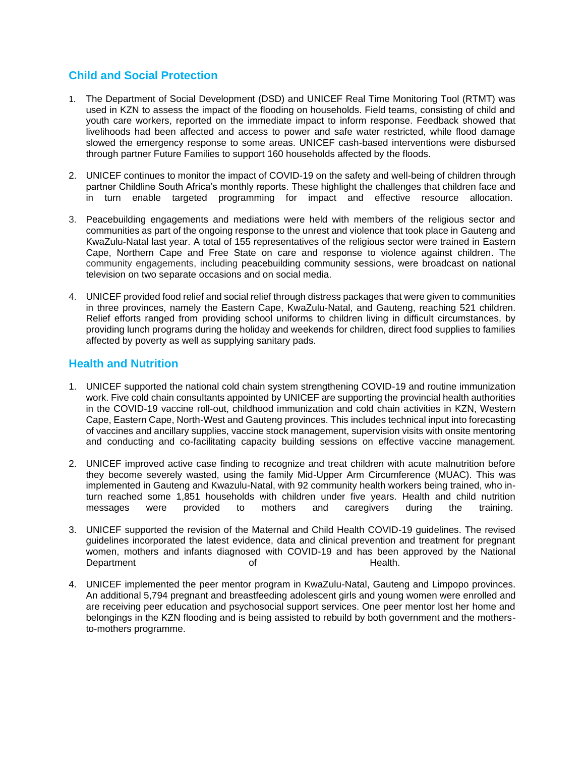## **Child and Social Protection**

- 1. The Department of Social Development (DSD) and UNICEF Real Time Monitoring Tool (RTMT) was used in KZN to assess the impact of the flooding on households. Field teams, consisting of child and youth care workers, reported on the immediate impact to inform response. Feedback showed that livelihoods had been affected and access to power and safe water restricted, while flood damage slowed the emergency response to some areas. UNICEF cash-based interventions were disbursed through partner Future Families to support 160 households affected by the floods.
- 2. UNICEF continues to monitor the impact of COVID-19 on the safety and well-being of children through partner Childline South Africa's monthly reports. These highlight the challenges that children face and in turn enable targeted programming for impact and effective resource allocation.
- 3. Peacebuilding engagements and mediations were held with members of the religious sector and communities as part of the ongoing response to the unrest and violence that took place in Gauteng and KwaZulu-Natal last year. A total of 155 representatives of the religious sector were trained in Eastern Cape, Northern Cape and Free State on care and response to violence against children. The community engagements, including peacebuilding community sessions, were broadcast on national television on two separate occasions and on social media.
- 4. UNICEF provided food relief and social relief through distress packages that were given to communities in three provinces, namely the Eastern Cape, KwaZulu-Natal, and Gauteng, reaching 521 children. Relief efforts ranged from providing school uniforms to children living in difficult circumstances, by providing lunch programs during the holiday and weekends for children, direct food supplies to families affected by poverty as well as supplying sanitary pads.

### **Health and Nutrition**

- 1. UNICEF supported the national cold chain system strengthening COVID-19 and routine immunization work. Five cold chain consultants appointed by UNICEF are supporting the provincial health authorities in the COVID-19 vaccine roll-out, childhood immunization and cold chain activities in KZN, Western Cape, Eastern Cape, North-West and Gauteng provinces. This includes technical input into forecasting of vaccines and ancillary supplies, vaccine stock management, supervision visits with onsite mentoring and conducting and co-facilitating capacity building sessions on effective vaccine management.
- 2. UNICEF improved active case finding to recognize and treat children with acute malnutrition before they become severely wasted, using the family Mid-Upper Arm Circumference (MUAC). This was implemented in Gauteng and Kwazulu-Natal, with 92 community health workers being trained, who inturn reached some 1,851 households with children under five years. Health and child nutrition messages were provided to mothers and caregivers during the training.
- 3. UNICEF supported the revision of the Maternal and Child Health COVID-19 guidelines. The revised guidelines incorporated the latest evidence, data and clinical prevention and treatment for pregnant women, mothers and infants diagnosed with COVID-19 and has been approved by the National Department of German of Health.
- 4. UNICEF implemented the peer mentor program in KwaZulu-Natal, Gauteng and Limpopo provinces. An additional 5,794 pregnant and breastfeeding adolescent girls and young women were enrolled and are receiving peer education and psychosocial support services. One peer mentor lost her home and belongings in the KZN flooding and is being assisted to rebuild by both government and the mothersto-mothers programme.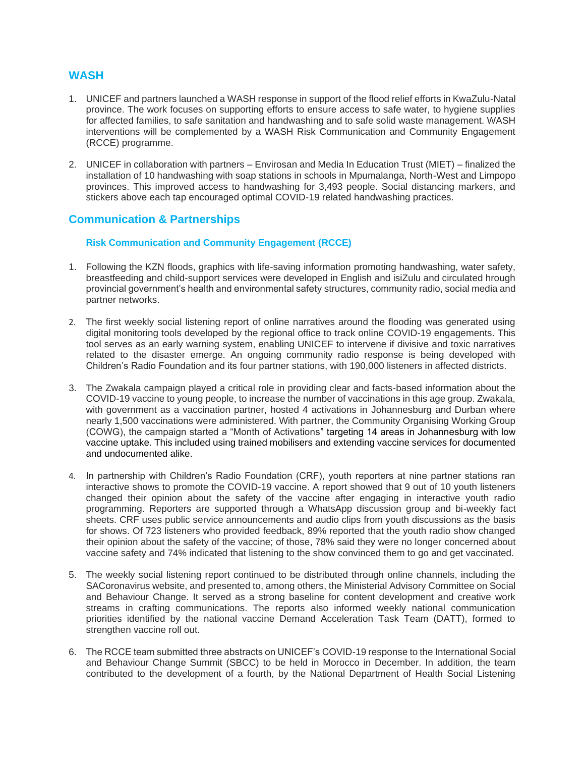### **WASH**

- 1. UNICEF and partners launched a WASH response in support of the flood relief efforts in KwaZulu-Natal province. The work focuses on supporting efforts to ensure access to safe water, to hygiene supplies for affected families, to safe sanitation and handwashing and to safe solid waste management. WASH interventions will be complemented by a WASH Risk Communication and Community Engagement (RCCE) programme.
- 2. UNICEF in collaboration with partners Envirosan and Media In Education Trust (MIET) finalized the installation of 10 handwashing with soap stations in schools in Mpumalanga, North-West and Limpopo provinces. This improved access to handwashing for 3,493 people. Social distancing markers, and stickers above each tap encouraged optimal COVID-19 related handwashing practices.

## **Communication & Partnerships**

#### **Risk Communication and Community Engagement (RCCE)**

- 1. Following the KZN floods, graphics with life-saving information promoting handwashing, water safety, breastfeeding and child-support services were developed in English and isiZulu and circulated hrough provincial government's health and environmental safety structures, community radio, social media and partner networks.
- 2. The first weekly social listening report of online narratives around the flooding was generated using digital monitoring tools developed by the regional office to track online COVID-19 engagements. This tool serves as an early warning system, enabling UNICEF to intervene if divisive and toxic narratives related to the disaster emerge. An ongoing community radio response is being developed with Children's Radio Foundation and its four partner stations, with 190,000 listeners in affected districts.
- 3. The Zwakala campaign played a critical role in providing clear and facts-based information about the COVID-19 vaccine to young people, to increase the number of vaccinations in this age group. Zwakala, with government as a vaccination partner, hosted 4 activations in Johannesburg and Durban where nearly 1,500 vaccinations were administered. With partner, the Community Organising Working Group (COWG), the campaign started a "Month of Activations" targeting 14 areas in Johannesburg with low vaccine uptake. This included using trained mobilisers and extending vaccine services for documented and undocumented alike.
- 4. In partnership with Children's Radio Foundation (CRF), youth reporters at nine partner stations ran interactive shows to promote the COVID-19 vaccine. A report showed that 9 out of 10 youth listeners changed their opinion about the safety of the vaccine after engaging in interactive youth radio programming. Reporters are supported through a WhatsApp discussion group and bi-weekly fact sheets. CRF uses public service announcements and audio clips from youth discussions as the basis for shows. Of 723 listeners who provided feedback, 89% reported that the youth radio show changed their opinion about the safety of the vaccine; of those, 78% said they were no longer concerned about vaccine safety and 74% indicated that listening to the show convinced them to go and get vaccinated.
- 5. The weekly social listening report continued to be distributed through online channels, including the SACoronavirus website, and presented to, among others, the Ministerial Advisory Committee on Social and Behaviour Change. It served as a strong baseline for content development and creative work streams in crafting communications. The reports also informed weekly national communication priorities identified by the national vaccine Demand Acceleration Task Team (DATT), formed to strengthen vaccine roll out.
- 6. The RCCE team submitted three abstracts on UNICEF's COVID-19 response to the International Social and Behaviour Change Summit (SBCC) to be held in Morocco in December. In addition, the team contributed to the development of a fourth, by the National Department of Health Social Listening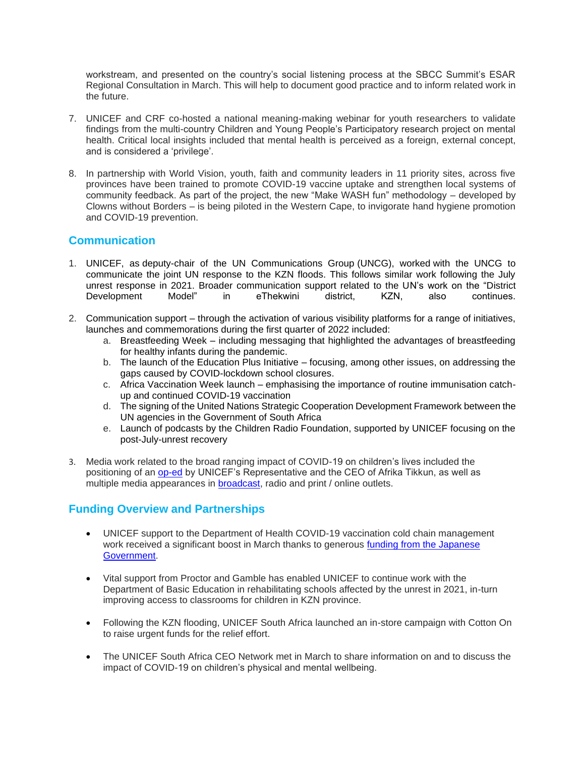workstream, and presented on the country's social listening process at the SBCC Summit's ESAR Regional Consultation in March. This will help to document good practice and to inform related work in the future.

- 7. UNICEF and CRF co-hosted a national meaning-making webinar for youth researchers to validate findings from the multi-country Children and Young People's Participatory research project on mental health. Critical local insights included that mental health is perceived as a foreign, external concept, and is considered a 'privilege'.
- 8. In partnership with World Vision, youth, faith and community leaders in 11 priority sites, across five provinces have been trained to promote COVID-19 vaccine uptake and strengthen local systems of community feedback. As part of the project, the new "Make WASH fun" methodology – developed by Clowns without Borders – is being piloted in the Western Cape, to invigorate hand hygiene promotion and COVID-19 prevention.

## **Communication**

- 1. UNICEF, as deputy-chair of the UN Communications Group (UNCG), worked with the UNCG to communicate the joint UN response to the KZN floods. This follows similar work following the July unrest response in 2021. Broader communication support related to the UN's work on the "District Development Model" in eThekwini district, KZN, also continues.
- 2. Communication support through the activation of various visibility platforms for a range of initiatives, launches and commemorations during the first quarter of 2022 included:
	- a. Breastfeeding Week including messaging that highlighted the advantages of breastfeeding for healthy infants during the pandemic.
	- b. The launch of the Education Plus Initiative focusing, among other issues, on addressing the gaps caused by COVID-lockdown school closures.
	- c. Africa Vaccination Week launch emphasising the importance of routine immunisation catchup and continued COVID-19 vaccination
	- d. The signing of the United Nations Strategic Cooperation Development Framework between the UN agencies in the Government of South Africa
	- e. Launch of podcasts by the Children Radio Foundation, supported by UNICEF focusing on the post-July-unrest recovery
- 3. Media work related to the broad ranging impact of COVID-19 on children's lives included the positioning of an [op-ed](https://www.dailymaverick.co.za/article/2022-02-01-as-we-begin-the-long-recovery-from-the-devastation-of-covid-19-children-and-young-people-must-be-front-and-centre/) by UNICEF's Representative and the CEO of Afrika Tikkun, as well as multiple media appearances in **broadcast**, radio and print / online outlets.

### **Funding Overview and Partnerships**

- UNICEF support to the Department of Health COVID-19 vaccination cold chain management work received a significant boost in March thanks to generous [funding from the Japanese](https://www.unicef.org/southafrica/press-releases/japan-bolsters-unicef-support-covid-19-vaccine-roll-out-south-africa)  [Government.](https://www.unicef.org/southafrica/press-releases/japan-bolsters-unicef-support-covid-19-vaccine-roll-out-south-africa)
- Vital support from Proctor and Gamble has enabled UNICEF to continue work with the Department of Basic Education in rehabilitating schools affected by the unrest in 2021, in-turn improving access to classrooms for children in KZN province.
- Following the KZN flooding, UNICEF South Africa launched an in-store campaign with Cotton On to raise urgent funds for the relief effort.
- The UNICEF South Africa CEO Network met in March to share information on and to discuss the impact of COVID-19 on children's physical and mental wellbeing.